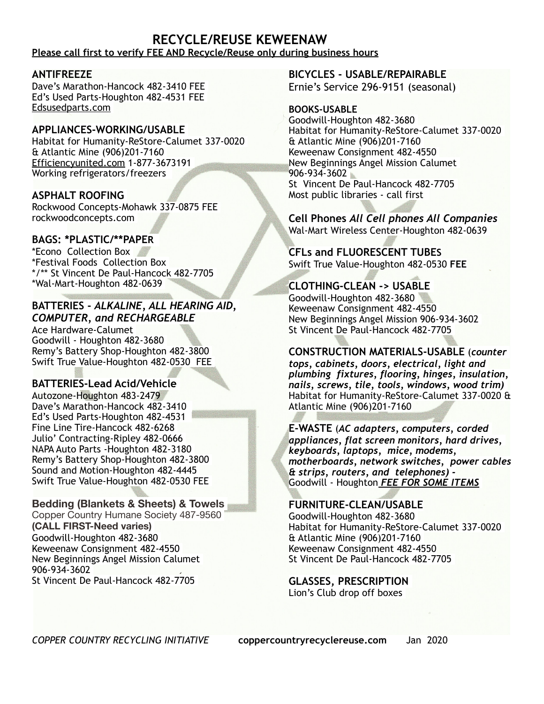#### **RECYCLE/REUSE KEWEENAW Please call first to verify FEE AND Recycle/Reuse only during business hours**

#### **ANTIFREEZE**

Dave's Marathon-Hancock 482-3410 FEE Ed's Used Parts-Houghton 482-4531 FEE Edsusedparts.com

#### **APPLIANCES-WORKING/USABLE**

Habitat for Humanity-ReStore-Calumet 337-0020 & Atlantic Mine (906)201-7160 Efficiencyunited.com 1-877-3673191 Working refrigerators/freezers

#### **ASPHALT ROOFING**

Rockwood Concepts-Mohawk 337-0875 FEE rockwoodconcepts.com

#### **BAGS: \*PLASTIC/\*\*PAPER**

\*Econo Collection Box \*Festival Foods Collection Box \*/\*\* St Vincent De Paul-Hancock 482-7705 \*Wal-Mart-Houghton 482-0639

#### **BATTERIES -** *ALKALINE, ALL HEARING AID, COMPUTER, and RECHARGEABLE*

Ace Hardware-Calumet Goodwill - Houghton 482-3680 Remy's Battery Shop-Houghton 482-3800 Swift True Value-Houghton 482-0530 FEE

### **BATTERIES-Lead Acid/Vehicle**

Autozone-Houghton 483-2479 Dave's Marathon-Hancock 482-3410 Ed's Used Parts-Houghton 482-4531 Fine Line Tire-Hancock 482-6268 Julio' Contracting-Ripley 482-0666 NAPA Auto Parts -Houghton 482-3180 Remy's Battery Shop-Houghton 482-3800 Sound and Motion-Houghton 482-4445 Swift True Value-Houghton 482-0530 FEE

### **Bedding (Blankets & Sheets) & Towels**

Copper Country Humane Society 487-9560 **(CALL FIRST-Need varies)**  Goodwill-Houghton 482-3680 Keweenaw Consignment 482-4550 New Beginnings Angel Mission Calumet 906-934-3602 St Vincent De Paul-Hancock 482-7705

#### **BICYCLES - USABLE/REPAIRABLE** Ernie's Service 296-9151 (seasonal)

#### **BOOKS-USABLE**

Goodwill-Houghton 482-3680 Habitat for Humanity-ReStore-Calumet 337-0020 & Atlantic Mine (906)201-7160 Keweenaw Consignment 482-4550 New Beginnings Angel Mission Calumet 906-934-3602 St Vincent De Paul-Hancock 482-7705 Most public libraries - call first

# **Cell Phones** *All Cell phones All Companies*

Wal-Mart Wireless Center-Houghton 482-0639

**CFLs and FLUORESCENT TUBES** Swift True Value-Houghton 482-0530 **FEE**

### **CLOTHING-CLEAN -> USABLE**

Goodwill-Houghton 482-3680 Keweenaw Consignment 482-4550 New Beginnings Angel Mission 906-934-3602 St Vincent De Paul-Hancock 482-7705

### **CONSTRUCTION MATERIALS-USABLE** (*counter*

*tops, cabinets, doors, electrical, light and plumbing fixtures, flooring, hinges, insulation, nails, screws, tile, tools, windows, wood trim)*  Habitat for Humanity-ReStore-Calumet 337-0020 & Atlantic Mine (906)201-7160

**E-WASTE** (*AC adapters, computers, corded appliances, flat screen monitors, hard drives, keyboards, laptops, mice, modems, motherboards, network switches, power cables & strips, routers, and telephones) -* Goodwill - Houghton *FEE FOR SOME ITEMS* 

### **FURNITURE-CLEAN/USABLE**

Goodwill-Houghton 482-3680 Habitat for Humanity-ReStore-Calumet 337-0020 & Atlantic Mine (906)201-7160 Keweenaw Consignment 482-4550 St Vincent De Paul-Hancock 482-7705

**GLASSES, PRESCRIPTION**  Lion's Club drop off boxes

*COPPER COUNTRY RECYCLING INITIATIVE* **[coppercountryrecyclereuse.com](http://coppercountryrecyclereuse.com/)** Jan 2020